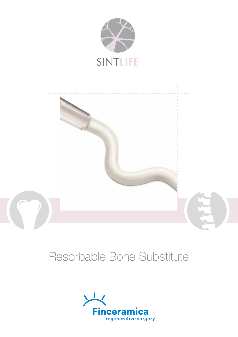



# Resorbable Bone Substitute

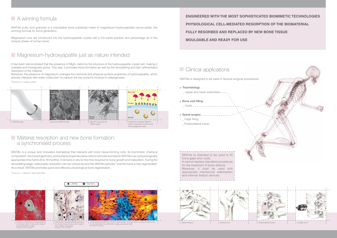SINTlife putty, and granules is a resorbable bone substitute made of magnesium-hydroxyapatite nanocrystals, the winning formula for bone generation.

Magnesium ions are introduced into the hydroxyapatite crystal cell in the same position and percentage as in the mineral phase of human bone.

## **Magnesium-hydroxyapatite just as nature intended**



### **Clinical applications**

### **Material resorption and new bone formation:** a synchronised process

SINTlife is a unique and innovative biomaterial that interacts with bone tissue-forming cells. Its biomimetic chemical composition, structured geometry, and surface properties allow cells to remodel and resorb SINTlife over a physiologically appropriate time frame (6 to 18 months). It remains in situ for the time required for bone growth and maturation. During the remodelling stage, osteoclastic resorption can be noticed around the SINTlife particles \*until the bone is fully regenerated. As a result, SINTlife promotes quick and effective physiological bone regeneration.

 $\angle$   $\angle$  = *SINTlife*  $\angle$  **O** = New Bone

\**Landi et al., J. Mater Sci: Mater Med (2008)*

*(40x trichromatic image). Courtesy of Prof. Trombelli*











*in a human body 45 days after surger (40x, CD68+ antibodies). Courtesy of Prof. Trombelli*

SINTlife is designed to be used in several surgical procedures:

### · Traumatology

- Upper and lower extremities.
- · Bone void filling  $Cysts - -$
- Spinal surgery
- Cage filling
- Posterolateral fusion

It has been demonstrated that the presence of Mg2+ deforms the structure of the hydroxyapatite crystal cell, making it unstable and biologically active. This way, it promotes bone formation as well as the remodelling and fast cellmediated resorption of the material.







*in a human body 5 months after surgery (polarised light). Courtesy of Dr Crespi*

Moreover, the presence of magnesium changes the chemical and physical surface properties of hydroxyapatite, which actively interacts with water molecules\* to capture the key proteins involved in osteogenesis.

\**Bertinetti et al. Langmuir (2009)*

SINTlife is intended to be used to fill bone gaps and voids.

It cannot replace standard procedures

for the treatment of bone defects.

Moreover, it must be used with appropriate mechanical stabilisation and internal fixation devices.